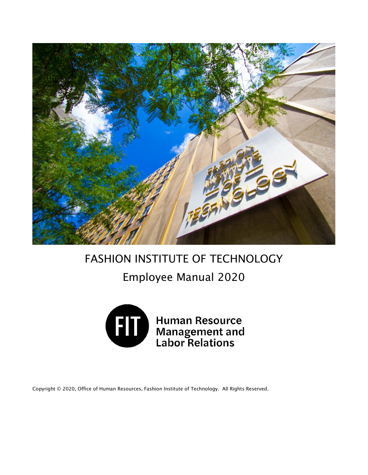

# FASHION INSTITUTE OF TECHNOLOGY

# Employee Manual 2020



Human Resource<br>Management and<br>Labor Relations

Copyright © 2020, Office of Human Resources, Fashion Institute of Technology. All Rights Reserved.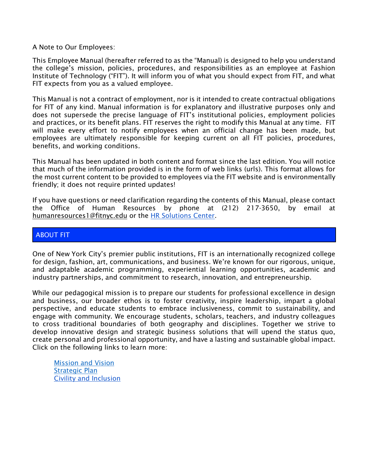A Note to Our Employees:

This Employee Manual (hereafter referred to as the "Manual) is designed to help you understand the college's mission, policies, procedures, and responsibilities as an employee at Fashion Institute of Technology ("FIT"). It will inform you of what you should expect from FIT, and what FIT expects from you as a valued employee.

This Manual is not a contract of employment, nor is it intended to create contractual obligations for FIT of any kind. Manual information is for explanatory and illustrative purposes only and does not supersede the precise language of FIT's institutional policies, employment policies and practices, or its benefit plans. FIT reserves the right to modify this Manual at any time. FIT will make every effort to notify employees when an official change has been made, but employees are ultimately responsible for keeping current on all FIT policies, procedures, benefits, and working conditions.

This Manual has been updated in both content and format since the last edition. You will notice that much of the information provided is in the form of web links (urls). This format allows for the most current content to be provided to employees via the FIT website and is environmentally friendly; it does not require printed updates!

If you have questions or need clarification regarding the contents of this Manual, please contact the Office of Human Resources by phone at (212) 217-3650, by email at [humanresources1@fitnyc.edu](mailto:humanresources1@fitnyc.edu) or the [HR Solutions Center.](https://app.smartsheet.com/b/form/51466cf793144994847961c6aca6ea6b)

# ABOUT FIT

One of New York City's premier public institutions, FIT is an internationally recognized college for design, fashion, art, communications, and business. We're known for our rigorous, unique, and adaptable academic programming, experiential learning opportunities, academic and industry partnerships, and commitment to research, innovation, and entrepreneurship.

While our pedagogical mission is to prepare our students for professional excellence in design and business, our broader ethos is to foster creativity, inspire leadership, impart a global perspective, and educate students to embrace inclusiveness, commit to sustainability, and engage with community. We encourage students, scholars, teachers, and industry colleagues to cross traditional boundaries of both geography and disciplines. Together we strive to develop innovative design and strategic business solutions that will upend the status quo, create personal and professional opportunity, and have a lasting and sustainable global impact. Click on the following links to learn more:

[Mission and Vision](https://www.fitnyc.edu/about/mission.php) [Strategic Plan](https://www.fitnyc.edu/strategic-plan/index.php) [Civility and Inclusion](https://www.google.com/url?q=http://www.fitnyc.edu/diversity-equity-inclusion/civility/index.php&sa=D&ust=1589725148936000&usg=AFQjCNHlwO1r2lRq7uPZ3L2pKhK2Br1dOQ)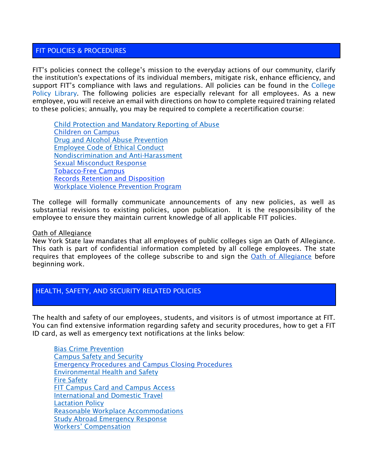# FIT POLICIES & PROCEDURES

FIT's policies connect the college's mission to the everyday actions of our community, clarify the institution's expectations of its individual members, mitigate risk, enhance efficiency, and support FIT's compliance with laws and regulations. All policies can be found in the College [Policy Library.](https://www.fitnyc.edu/policies/index.php) The following policies are especially relevant for all employees. As a new employee, you will receive an email with directions on how to complete required training related to these policies; annually, you may be required to complete a recertification course:

[Child Protection and Mandatory Reporting of Abuse](http://www.fitnyc.edu/policies/college/child-protection-abuse.php) [Children on Campus](http://www.fitnyc.edu/policies/college/children-on-campus.php) [Drug and Alcohol Abuse Prevention](https://www.fitnyc.edu/policies/enrollment-management/drug-alcohol-abuse-prevention.php) [Employee Code of Ethical Conduct](https://www.fitnyc.edu/policies/hr/employee-code-of-ethical-conduct.php) [Nondiscrimination and Anti-Harassment](https://www.fitnyc.edu/policies/college/nondiscrimination.php) [Sexual Misconduct Response](https://www.fitnyc.edu/policies/safety-security/sexual-assault-stalking-abuse.php) [Tobacco-Free Campus](https://www.fitnyc.edu/policies/college/smoking-tobacco.php) [Records Retention and Disposition](http://www.fitnyc.edu/policies/college/records-retention.php) [Workplace Violence Prevention Program](http://www.fitnyc.edu/policies/hr/workplace-violence-prevention.php)

The college will formally communicate announcements of any new policies, as well as substantial revisions to existing policies, upon publication. It is the responsibility of the employee to ensure they maintain current knowledge of all applicable FIT policies.

#### Oath of Allegiance

New York State law mandates that all employees of public colleges sign an Oath of Allegiance. This oath is part of confidential information completed by all college employees. The state requires that employees of the college subscribe to and sign the **Oath of Allegiance** before beginning work.

# HEALTH, SAFETY, AND SECURITY RELATED POLICIES

The health and safety of our employees, students, and visitors is of utmost importance at FIT. You can find extensive information regarding safety and security procedures, how to get a FIT ID card, as well as emergency text notifications at the links below:

[Bias Crime Prevention](https://www.fitnyc.edu/policies/enrollment-management/bias-crime-prevention.php) [Campus Safety and Security](https://www.fitnyc.edu/policies/safety-security/campus-safety-and-security.php)  [Emergency Procedures and Campus Closing Procedures](http://www.fitnyc.edu/emergency/index.php) [Environmental Health and Safety](http://www.fitnyc.edu/policies/safety-security/environmentalhealthandsafety.php) [Fire Safety](https://www.fitnyc.edu/policies/safety-security/fire-safety.php) [FIT Campus Card and Campus Access](https://www.fitnyc.edu/policies/safety-security/campus-card-and-access.php) [International and Domestic Travel](http://www.fitnyc.edu/policies/safety-security/internationalanddomestictravel.php) Lactation Policy [Reasonable Workplace Accommodations](http://www.fitnyc.edu/policies/hr/reasonable_workplace_accommodations.php) [Study Abroad Emergency Response](http://www.fitnyc.edu/policies/safety-security/study-abroad-emergency.php) [Workers' Compensation](https://www.fitnyc.edu/policies/hr/workers-comp.php)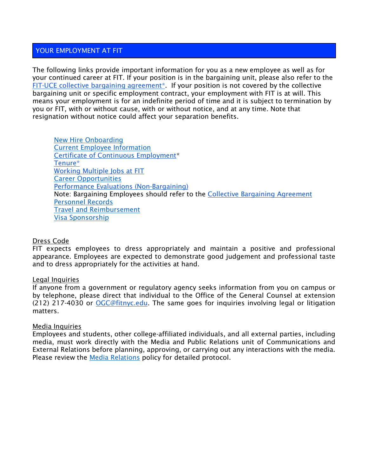### YOUR EMPLOYMENT AT FIT

The following links provide important information for you as a new employee as well as for your continued career at FIT. If your position is in the bargaining unit, please also refer to the [FIT-UCE collective bargaining agreement\\*.](https://www.fitnyc.edu/documents/hr/cba-final-2010-2017.pdf) If your position is not covered by the collective bargaining unit or specific employment contract, your employment with FIT is at will. This means your employment is for an indefinite period of time and it is subject to termination by you or FIT, with or without cause, with or without notice, and at any time. Note that resignation without notice could affect your separation benefits.

[New Hire Onboarding](https://www.fitnyc.edu/hr/new-hires/index.php) [Current Employee Information](https://www.fitnyc.edu/hr/current-employees/index.php) [Certificate of Continuous Employment\\*](https://www.fitnyc.edu/hr/policies/cce.php) [Tenure\\*](https://www.fitnyc.edu/hr/policies/tenure.php) [Working Multiple Jobs at FIT](https://www.fitnyc.edu/hr/policies/multiple-jobs.php) [Career Opportunities](https://www.fitnyc.edu/hr/job-listings.php) [Performance Evaluations \(Non-Bargaining\)](https://www.fitnyc.edu/hr/current-employees/performance.php) Note: Bargaining Employees should refer to the [Collective Bargaining Agreement](https://www.fitnyc.edu/hr/current-employees/collective-bargaining-agreement.php) [Personnel Records](https://www.fitnyc.edu/policies/hr/personnel-records.php) [Travel and Reimbursement](http://www.fitnyc.edu/policies/finance/travel-reimbursement.php) [Visa Sponsorship](http://www.fitnyc.edu/policies/hr/visa-sponsorship.php)

#### Dress Code

FIT expects employees to dress appropriately and maintain a positive and professional appearance. Employees are expected to demonstrate good judgement and professional taste and to dress appropriately for the activities at hand.

#### Legal Inquiries

If anyone from a government or regulatory agency seeks information from you on campus or by telephone, please direct that individual to the Office of the General Counsel at extension (212) 217-4030 or [OGC@fitnyc.edu.](mailto:OGC@fitnyc.edu) The same goes for inquiries involving legal or litigation matters.

#### Media Inquiries

Employees and students, other college-affiliated individuals, and all external parties, including media, must work directly with the Media and Public Relations unit of Communications and External Relations before planning, approving, or carrying out any interactions with the media. Please review the [Media Relations](https://www.fitnyc.edu/policies/communications/mediarelations.php) policy for detailed protocol.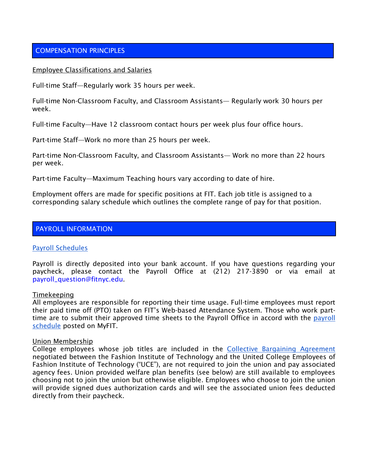# COMPENSATION PRINCIPLES

#### Employee Classifications and Salaries

Full-time Staff—Regularly work 35 hours per week.

Full-time Non-Classroom Faculty, and Classroom Assistants— Regularly work 30 hours per week.

Full-time Faculty—Have 12 classroom contact hours per week plus four office hours.

Part-time Staff—Work no more than 25 hours per week.

Part-time Non-Classroom Faculty, and Classroom Assistants— Work no more than 22 hours per week.

Part-time Faculty—Maximum Teaching hours vary according to date of hire.

Employment offers are made for specific positions at FIT. Each job title is assigned to a corresponding salary schedule which outlines the complete range of pay for that position.

#### PAYROLL INFORMATION

#### [Payroll Schedules](https://www.fitnyc.edu/myfit/finance/payroll/schedules.html)

Payroll is directly deposited into your bank account. If you have questions regarding your paycheck, please contact the Payroll Office at (212) 217-3890 or via email at payroll\_question@fitnyc.edu.

#### Timekeeping

All employees are responsible for reporting their time usage. Full-time employees must report their paid time off (PTO) taken on FIT's Web-based Attendance System. Those who work parttime are to submit their approved time sheets to the Payroll Office in accord with the [payroll](https://www.fitnyc.edu/myfit/finance/payroll/schedules.html)  [schedule](https://www.fitnyc.edu/myfit/finance/payroll/schedules.html) posted on MyFIT.

#### Union Membership

College employees whose job titles are included in the [Collective Bargaining Agreement](https://www.fitnyc.edu/documents/hr/cba-final-2010-2017.pdf) negotiated between the Fashion Institute of Technology and the United College Employees of Fashion Institute of Technology ("UCE"), are not required to join the union and pay associated agency fees. Union provided welfare plan benefits (see below) are still available to employees choosing not to join the union but otherwise eligible. Employees who choose to join the union will provide signed dues authorization cards and will see the associated union fees deducted directly from their paycheck.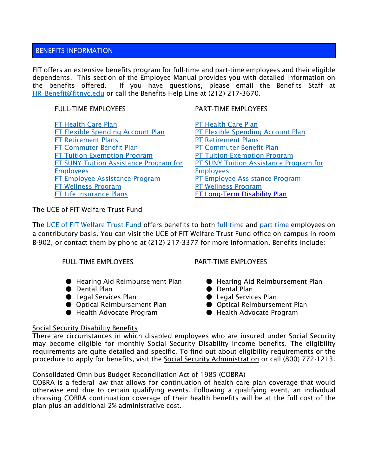# BENEFITS INFORMATION

FIT offers an extensive benefits program for full-time and part-time employees and their eligible dependents. This section of the Employee Manual provides you with detailed information on the benefits offered. If you have questions, please email the Benefits Staff at [HR\\_Benefit@fitnyc.edu](mailto:HR_Benefit@fitnyc.edu) or call the Benefits Help Line at (212) 217-3670.

[FT Health Care Plan](http://www.fitnyc.edu/hr/benefits/full-time/health-insurance.php) [PT Health Care Plan](http://www.fitnyc.edu/hr/benefits/part-time/health-insurance.php) [FT Flexible Spending Account Plan](http://www.fitnyc.edu/hr/benefits/full-time/flexible-spending.php) [PT Flexible Spending Account Plan](http://www.fitnyc.edu/hr/benefits/full-time/flexible-spending.php) [FT Retirement Plans](http://www.fitnyc.edu/hr/benefits/full-time/retirement/index.php) **[PT Retirement Plans](http://www.fitnyc.edu/hr/benefits/part-time/retirement.php)** [FT Commuter Benefit Plan](http://www.fitnyc.edu/hr/benefits/transitchek.php) [PT Commuter Benefit Plan](http://www.fitnyc.edu/hr/benefits/transitchek.php) [FT Tuition Exemption Program](http://www.fitnyc.edu/hr/benefits/tuition-exemption.php) [PT Tuition Exemption Program](http://www.fitnyc.edu/hr/benefits/tuition-exemption.php) [FT SUNY Tuition Assistance Program for](http://www.fitnyc.edu/hr/benefits/tuition-assistance.php)  **[Employees](http://www.fitnyc.edu/hr/benefits/tuition-assistance.php)** [FT Employee Assistance Program](http://www.fitnyc.edu/hr/benefits/eap.php) [PT Employee Assistance Program](http://www.fitnyc.edu/hr/benefits/eap.php) [FT Wellness Program](http://www.fitnyc.edu/hr/benefits/wellness/index.php) **[PT Wellness Program](http://www.fitnyc.edu/hr/benefits/wellness/index.php)** [FT Life Insurance Plans](http://www.fitnyc.edu/hr/benefits/full-time/life-insurance.php) [FT Long-Term Disability Plan](http://www.fitnyc.edu/hr/benefits/full-time/long-term-disability.php)

# FULL-TIME EMPLOYEES PART-TIME EMPLOYEES

[PT SUNY Tuition Assistance Program for](http://www.fitnyc.edu/hr/benefits/tuition-assistance.php)  [Employees](http://www.fitnyc.edu/hr/benefits/tuition-assistance.php)

# The UCE of FIT Welfare Trust Fund

Th[e](http://uce-fit.org/welfarefund.html) [UCE of FIT Welfare Trust Fund](http://uce-fit.org/welfarefund.html) offers benefits to both [full-time](http://www.uce-fit.org/welfarefund/base/UCE_WELFARE_FD_TRUST_FD_FIT.pdf) and [part-time](http://www.uce-fit.org/welfarefund/base/PT_UCE_WELFARE_TRUST_FUND_Jan_2016.pdf) employees on a contributory basis. You can visit the UCE of FIT Welfare Trust Fund office on-campus in room B-902, or contact them by phone at (212) 217-3377 for more information. Benefits include:

# FULL-TIME EMPLOYEES PART-TIME EMPLOYEES

- Hearing Aid Reimbursement Plan Hearing Aid Reimbursement Plan
- Dental Plan Dental Plan
- Legal Services Plan Legal Services Plan
- Optical Reimbursement Plan Optical Reimbursement Plan
- Health Advocate Program Health Advocate Program

- 
- 
- 
- 
- 

# Social Security Disability Benefits

There are circumstances in which disabled employees who are insured under Social Security may become eligible for monthly Social Security Disability Income benefits. The eligibility requirements are quite detailed and specific. To find out about eligibility requirements or the procedure to apply for benefits, visit the [Social Security Administration](https://www.ssa.gov/) or call (800) 772-1213.

# Consolidated Omnibus Budget Reconciliation Act of 1985 (COBRA)

COBRA is a federal law that allows for continuation of health care plan coverage that would otherwise end due to certain qualifying events. Following a qualifying event, an individual choosing COBRA continuation coverage of their health benefits will be at the full cost of the plan plus an additional 2% administrative cost.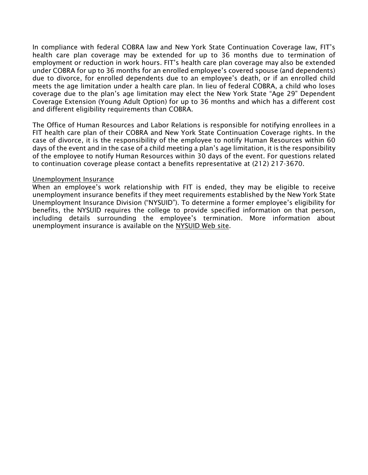In compliance with federal COBRA law and New York State Continuation Coverage law, FIT's health care plan coverage may be extended for up to 36 months due to termination of employment or reduction in work hours. FIT's health care plan coverage may also be extended under COBRA for up to 36 months for an enrolled employee's covered spouse (and dependents) due to divorce, for enrolled dependents due to an employee's death, or if an enrolled child meets the age limitation under a health care plan. In lieu of federal COBRA, a child who loses coverage due to the plan's age limitation may elect the New York State "Age 29" Dependent Coverage Extension (Young Adult Option) for up to 36 months and which has a different cost and different eligibility requirements than COBRA.

The Office of Human Resources and Labor Relations is responsible for notifying enrollees in a FIT health care plan of their COBRA and New York State Continuation Coverage rights. In the case of divorce, it is the responsibility of the employee to notify Human Resources within 60 days of the event and in the case of a child meeting a plan's age limitation, it is the responsibility of the employee to notify Human Resources within 30 days of the event. For questions related to continuation coverage please contact a benefits representative at (212) 217-3670.

#### Unemployment Insurance

When an employee's work relationship with FIT is ended, they may be eligible to receive unemployment insurance benefits if they meet requirements established by the New York State Unemployment Insurance Division ("NYSUID"). To determine a former employee's eligibility for benefits, the NYSUID requires the college to provide specified information on that person, including details surrounding the employee's termination. More information about unemployment insurance is available on the [NYSUID Web site.](https://labor.ny.gov/ui/faq.shtm)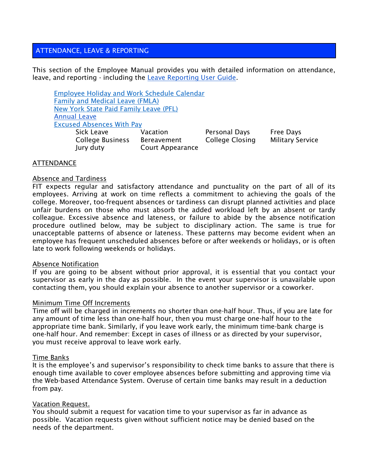# ATTENDANCE, LEAVE & REPORTING

This section of the Employee Manual provides you with detailed information on attendance, leave, and reporting - including the [Leave Reporting User Guide.](http://www.fitnyc.edu/files/pdfs/Leave_Reporting_User_Guide_spring_2009.pdf)

[Employee Holiday and Work Schedule](https://www.fitnyc.edu/hr/current-employees/leave-management/index.php) Calendar [Family and Medical Leave \(FMLA\)](https://www.fitnyc.edu/hr/current-employees/leave-management/fmla.php) [New York State Paid Family Leave \(PFL\)](https://www.fitnyc.edu/hr/current-employees/leave-management/nyspfl.php) [Annual Leave](http://www.fitnyc.edu/documents/hr/hr-annual-leave-info.pdf) [Excused Absences With Pay](https://www.fitnyc.edu/hr/current-employees/leave-management/index.php) Sick Leave **Vacation** Personal Days Free Days

College Business Bereavement College Closing Military Service Jury duty Court Appearance

#### **ATTENDANCE**

#### Absence and Tardiness

FIT expects regular and satisfactory attendance and punctuality on the part of all of its employees. Arriving at work on time reflects a commitment to achieving the goals of the college. Moreover, too-frequent absences or tardiness can disrupt planned activities and place unfair burdens on those who must absorb the added workload left by an absent or tardy colleague. Excessive absence and lateness, or failure to abide by the absence notification procedure outlined below, may be subject to disciplinary action. The same is true for unacceptable patterns of absence or lateness. These patterns may become evident when an employee has frequent unscheduled absences before or after weekends or holidays, or is often late to work following weekends or holidays.

#### Absence Notification

If you are going to be absent without prior approval, it is essential that you contact your supervisor as early in the day as possible. In the event your supervisor is unavailable upon contacting them, you should explain your absence to another supervisor or a coworker.

#### Minimum Time Off Increments

Time off will be charged in increments no shorter than one-half hour. Thus, if you are late for any amount of time less than one-half hour, then you must charge one-half hour to the appropriate time bank. Similarly, if you leave work early, the minimum time-bank charge is one-half hour. And remember: Except in cases of illness or as directed by your supervisor, you must receive approval to leave work early.

#### Time Banks

It is the employee's and supervisor's responsibility to check time banks to assure that there is enough time available to cover employee absences before submitting and approving time via the Web-based Attendance System. Overuse of certain time banks may result in a deduction from pay.

#### Vacation Request.

You should submit a request for vacation time to your supervisor as far in advance as possible. Vacation requests given without sufficient notice may be denied based on the needs of the department.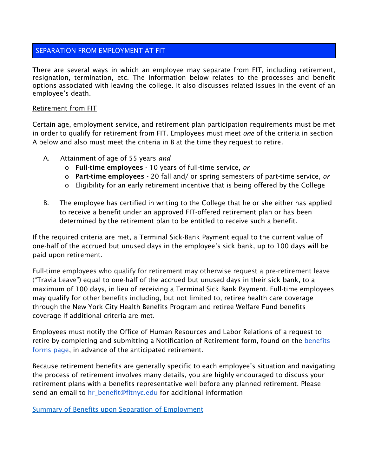# SEPARATION FROM EMPLOYMENT AT FIT

There are several ways in which an employee may separate from FIT, including retirement, resignation, termination, etc. The information below relates to the processes and benefit options associated with leaving the college. It also discusses related issues in the event of an employee's death.

### Retirement from FIT

Certain age, employment service, and retirement plan participation requirements must be met in order to qualify for retirement from FIT. Employees must meet *one* of the criteria in section A below and also must meet the criteria in B at the time they request to retire.

- A. Attainment of age of 55 years *and*
	- o Full-time employees 10 years of full-time service, *or*
	- o Part-time employees 20 fall and/ or spring semesters of part-time service, *or*
	- o Eligibility for an early retirement incentive that is being offered by the College
- B. The employee has certified in writing to the College that he or she either has applied to receive a benefit under an approved FIT-offered retirement plan or has been determined by the retirement plan to be entitled to receive such a benefit.

If the required criteria are met, a Terminal Sick-Bank Payment equal to the current value of one-half of the accrued but unused days in the employee's sick bank, up to 100 days will be paid upon retirement.

Full-time employees who qualify for retirement may otherwise request a pre-retirement leave ("Travia Leave") equal to one-half of the accrued but unused days in their sick bank, to a maximum of 100 days, in lieu of receiving a Terminal Sick Bank Payment. Full-time employees may qualify for other benefits including, but not limited to, retiree health care coverage through the New York City Health Benefits Program and retiree Welfare Fund benefits coverage if additional criteria are met.

Employees must notify the Office of Human Resources and Labor Relations of a request to retire by completing and submitting a Notification of Retirement form, found on the **benefits** [forms page,](http://www.fitnyc.edu/hr/benefits/forms.php) in advance of the anticipated retirement.

Because retirement benefits are generally specific to each employee's situation and navigating the process of retirement involves many details, you are highly encouraged to discuss your retirement plans with a benefits representative well before any planned retirement. Please send an email to [hr\\_benefit@fitnyc.edu](mailto:hr_benefit@fitnyc.edu) for additional information

[Summary of Benefits upon Separation of Employment](https://www.google.com/url?q=http://www.fitnyc.edu/hr/benefits/forms.php&sa=D&ust=1590590078972000&usg=AFQjCNF6jUQl1Qog2nDI4PjCkbSc5mDT6w)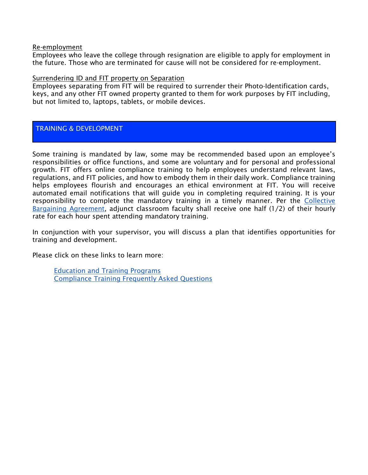#### Re-employment

Employees who leave the college through resignation are eligible to apply for employment in the future. Those who are terminated for cause will not be considered for re-employment.

#### Surrendering ID and FIT property on Separation

Employees separating from FIT will be required to surrender their Photo-Identification cards, keys, and any other FIT owned property granted to them for work purposes by FIT including, but not limited to, laptops, tablets, or mobile devices.

# TRAINING & DEVELOPMENT

Some training is mandated by law, some may be recommended based upon an employee's responsibilities or office functions, and some are voluntary and for personal and professional growth. FIT offers online compliance training to help employees understand relevant laws, regulations, and FIT policies, and how to embody them in their daily work. Compliance training helps employees flourish and encourages an ethical environment at FIT. You will receive automated email notifications that will guide you in completing required training. It is your responsibility to complete the mandatory training in a timely manner. Per the [Collective](https://www.fitnyc.edu/documents/hr/cba-final-2010-2017.pdf)  [Bargaining Agreement,](https://www.fitnyc.edu/documents/hr/cba-final-2010-2017.pdf) adjunct classroom faculty shall receive one half (1/2) of their hourly rate for each hour spent attending mandatory training.

In conjunction with your supervisor, you will discuss a plan that identifies opportunities for training and development.

Please click on these links to learn more:

[Education and Training Programs](https://myfit.fitnyc.edu/web/myfit/insidefit)  [Compliance Training Frequently Asked Questions](https://www.fitnyc.edu/myfit/legal-affairs/compliance/education-and-training/compliance-training-faqs.html)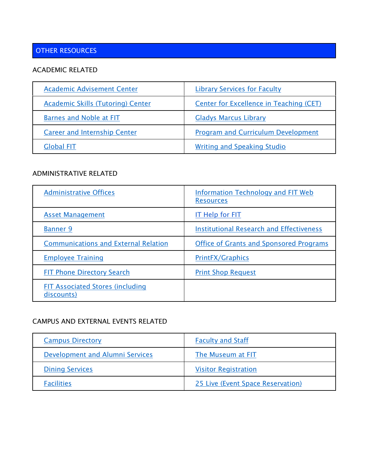# OTHER RESOURCES

# ACADEMIC RELATED

| <b>Academic Advisement Center</b>        | <b>Library Services for Faculty</b>       |
|------------------------------------------|-------------------------------------------|
| <b>Academic Skills (Tutoring) Center</b> | Center for Excellence in Teaching (CET)   |
| <b>Barnes and Noble at FIT</b>           | <b>Gladys Marcus Library</b>              |
| <b>Career and Internship Center</b>      | <b>Program and Curriculum Development</b> |
| <b>Global FIT</b>                        | <b>Writing and Speaking Studio</b>        |

# ADMINISTRATIVE RELATED

| <b>Administrative Offices</b>                         | <b>Information Technology and FIT Web</b><br><b>Resources</b> |
|-------------------------------------------------------|---------------------------------------------------------------|
| <b>Asset Management</b>                               | <b>IT Help for FIT</b>                                        |
| <b>Banner 9</b>                                       | <b>Institutional Research and Effectiveness</b>               |
| <b>Communications and External Relation</b>           | <b>Office of Grants and Sponsored Programs</b>                |
| <b>Employee Training</b>                              | <b>PrintFX/Graphics</b>                                       |
| <b>FIT Phone Directory Search</b>                     | <b>Print Shop Request</b>                                     |
| <b>FIT Associated Stores (including</b><br>discounts) |                                                               |

# CAMPUS AND EXTERNAL EVENTS RELATED

| <b>Campus Directory</b>         | <b>Faculty and Staff</b>          |
|---------------------------------|-----------------------------------|
| Development and Alumni Services | The Museum at FIT                 |
| <b>Dining Services</b>          | <b>Visitor Registration</b>       |
| <b>Facilities</b>               | 25 Live (Event Space Reservation) |